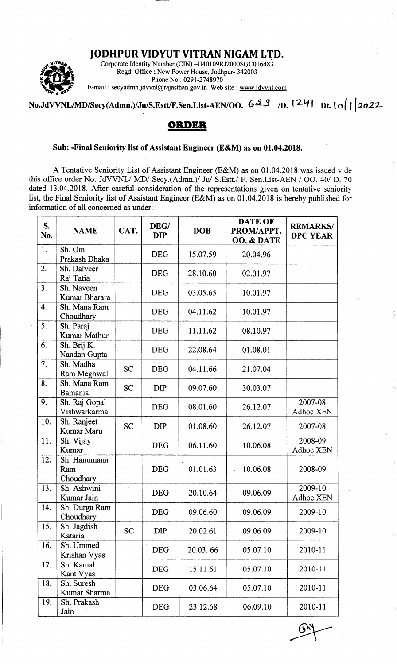## JODHPUR VIDYUT VITRAN NIGAM LTD.



Corporate Identity Number (CIN) -U40109RI2000SGC016483 Regd. Office :. New Power House, Jodhpur- 342003 Phone No: 0291-2748970 E-mail : secyadmn.jdvvnl@rajasthan.gov.in Web site : www.jdvvnl.com

## No.JdVVNL/MD/Secy(Admn.)/Ju/S.Estt/F.Sen.List-AEN/OO.  $629$  n.  $1241$  nt.  $10$ | 2022

## onpEB

## Sub: -Final Seniority list of Assistant Engineer (E&M) as on 01.04.2018.

A Tentative Seniority List of Assistant Engineer (E&M) as on 01.04.2018 was issued vide this office order No. JdVVNL/ MD/ Secy.(Admn.)/ Ju/ S.Estt./ F. Sen.List-AEN / OO. 40/ D. 70 dated 13.04.2018. After careful consideration of the representations given on tentative seniority list, the Final Seniority list of Assistant Engineer (E&M) as on 01.04.2018 is hereby published for information of all concerned as under:

| S.<br>No. | <b>NAME</b>                      | CAT.                 | DEG/<br><b>DIP</b> | <b>DOB</b> | <b>DATE OF</b><br>PROM/APPT.<br>OO. & DATE | <b>REMARKS/</b><br><b>DPC YEAR</b> |
|-----------|----------------------------------|----------------------|--------------------|------------|--------------------------------------------|------------------------------------|
| 1.        | Sh. Om<br>Prakash Dhaka          |                      | <b>DEG</b>         | 15.07.59   | 20.04.96                                   |                                    |
| 2.        | Sh. Dalveer<br>Raj Tatia         |                      | <b>DEG</b>         | 28.10.60   | 02.01.97                                   |                                    |
| 3.        | Sh. Naveen<br>Kumar Bharara      |                      | <b>DEG</b>         | 03.05.65   | 10.01.97                                   |                                    |
| 4.        | Sh. Mana Ram<br>Choudhary        |                      | <b>DEG</b>         | 04.11.62   | 10.01.97                                   |                                    |
| 5.        | Sh. Paraj<br>Kumar Mathur        |                      | <b>DEG</b>         | 11.11.62   | 08.10.97                                   |                                    |
| 6.        | Sh. Brij K.<br>Nandan Gupta      |                      | <b>DEG</b>         | 22.08.64   | 01.08.01                                   |                                    |
| 7:        | Sh. Madha<br>Ram Meghwal         | <b>SC</b>            | <b>DEG</b>         | 04.11.66   | 21.07.04                                   |                                    |
| 8.        | Sh. Mana Ram<br>Bamania          | <b>SC</b>            | <b>DIP</b>         | 09.07.60   | 30.03.07                                   |                                    |
| 9.        | Sh. Raj Gopal<br>Vishwarkarma    |                      | <b>DEG</b>         | 08.01.60   | 26.12.07                                   | 2007-08<br>Adhoc XEN               |
| 10.       | Sh. Ranjeet<br>Kumar Maru        | <b>SC</b>            | <b>DIP</b>         | 01.08.60   | 26.12.07                                   | 2007-08                            |
| 11.       | Sh. Vijay<br>Kumar               |                      | <b>DEG</b>         | 06.11.60   | 10.06.08                                   | 2008-09<br>Adhoc XEN               |
| 12.       | Sh. Hanumana<br>Ram<br>Choudhary |                      | <b>DEG</b>         | 01.01.63   | 10.06.08                                   | 2008-09                            |
| 13.       | Sh. Ashwini<br>Kumar Jain        | $\ddot{\phantom{a}}$ | <b>DEG</b>         | 20.10.64   | 09.06.09                                   | 2009-10<br>Adhoc XEN               |
| 14.       | Sh. Durga Ram<br>Choudhary       |                      | <b>DEG</b>         | 09.06.60   | 09.06.09                                   | 2009-10                            |
| 15.       | Sh. Jagdish<br>Kataria           | <b>SC</b>            | <b>DIP</b>         | 20.02.61   | 09.06.09                                   | 2009-10                            |
| 16.       | Sh. Ummed<br>Krishan Vyas        |                      | <b>DEG</b>         | 20.03.66   | 05.07.10                                   | 2010-11                            |
| 17.       | Sh. Kamal<br>Kant Vyas           |                      | <b>DEG</b>         | 15.11.61   | 05.07.10                                   | 2010-11                            |
| 18.       | Sh. Suresh<br>Kumar Sharma       |                      | <b>DEG</b>         | 03.06.64   | 05.07.10                                   | 2010-11                            |
| 19.       | Sh. Prakash<br>Jain              |                      | <b>DEG</b>         | 23.12.68   | 06.09.10                                   | 2010-11                            |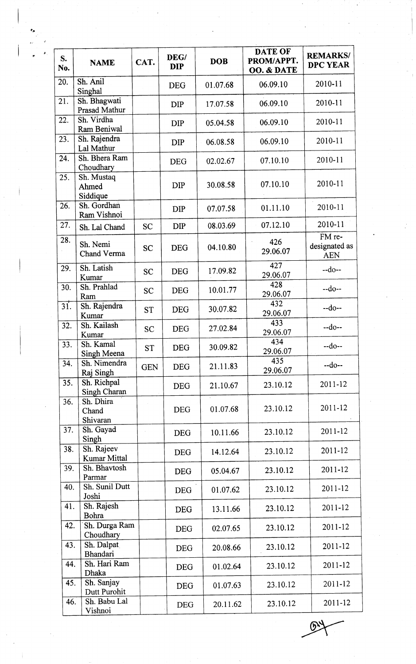| S.<br>No.         | <b>NAME</b>                       | CAT.       | DEG/<br><b>DIP</b> | <b>DOB</b> | DATE OF<br>PROM/APPT.<br>OO. & DATE | <b>REMARKS/</b><br><b>DPC YEAR</b>    |
|-------------------|-----------------------------------|------------|--------------------|------------|-------------------------------------|---------------------------------------|
| 20.               | Sh. Anil<br>Singhal               |            | <b>DEG</b>         | 01.07.68   | 06.09.10                            | 2010-11                               |
| 21.               | Sh. Bhagwati<br>Prasad Mathur     |            | <b>DIP</b>         | 17.07.58   | 06.09.10                            | 2010-11                               |
| 22.               | Sh. Virdha<br>Ram Beniwal         |            | <b>DIP</b>         | 05.04.58   | 06.09.10                            | 2010-11                               |
| 23.               | Sh. Rajendra<br>Lal Mathur        |            | <b>DIP</b>         | 06.08.58   | 06.09.10                            | 2010-11                               |
| 24.               | Sh. Bhera Ram<br>Choudhary        |            | <b>DEG</b>         | 02.02.67   | 07.10.10                            | 2010-11                               |
| 25.               | Sh. Mustaq<br>Ahmed<br>Siddique   |            | <b>DIP</b>         | 30.08.58   | 07.10.10                            | 2010-11                               |
| 26.               | Sh. Gordhan<br>Ram Vishnoi        |            | <b>DIP</b>         | 07.07.58   | 01.11.10                            | 2010-11                               |
| 27.               | Sh. Lal Chand                     | <b>SC</b>  | DIP                | 08.03.69   | 07.12.10                            | 2010-11                               |
| 28.               | Sh. Nemi<br>Chand Verma           | <b>SC</b>  | <b>DEG</b>         | 04.10.80   | 426<br>29.06.07                     | FM re-<br>designated as<br><b>AEN</b> |
| 29.               | Sh. Latish<br>Kumar               | <b>SC</b>  | <b>DEG</b>         | 17.09.82   | 427<br>29.06.07                     | $-do-$                                |
| 30.               | Sh. Prahlad<br>Ram                | <b>SC</b>  | <b>DEG</b>         | 10.01.77   | 428<br>29.06.07                     | $-do-$                                |
| $\overline{31}$ . | Sh. Rajendra<br>Kumar             | <b>ST</b>  | <b>DEG</b>         | 30.07.82   | 432<br>29.06.07                     | $-do-$                                |
| 32.               | Sh. Kailash<br>Kumar              | <b>SC</b>  | <b>DEG</b>         | 27.02.84   | 433<br>29.06.07                     | $-do-$                                |
| 33.               | Sh. Kamal<br>Singh Meena          | <b>ST</b>  | DEG                | 30.09.82   | 434<br>29.06.07                     | $-do-$                                |
| 34.               | Sh. Nimendra<br>Raj Singh         | <b>GEN</b> | <b>DEG</b>         | 21.11.83   | 435<br>29.06.07                     | $-do-$                                |
| 35.               | Sh. Richpal<br>Singh Charan       |            | <b>DEG</b>         | 21.10.67   | 23.10.12                            | 2011-12                               |
| 36.               | Sh. Dhira<br>Chand<br>Shivaran    |            | <b>DEG</b>         | 01.07.68   | 23.10.12                            | 2011-12                               |
| 37.               | Sh. Gayad<br>Singh                |            | <b>DEG</b>         | 10.11.66   | 23.10.12                            | 2011-12                               |
| 38.               | Sh. Rajeev<br><b>Kumar Mittal</b> |            | <b>DEG</b>         | 14.12.64   | 23.10.12                            | 2011-12                               |
| 39.               | Sh. Bhavtosh<br>Parmar            |            | <b>DEG</b>         | 05.04.67   | 23.10.12                            | 2011-12                               |
| 40.               | Sh. Sunil Dutt<br>Joshi           |            | <b>DEG</b>         | 01.07.62   | 23.10.12                            | 2011-12                               |
| 41.               | Sh. Rajesh<br>Bohra               |            | <b>DEG</b>         | 13.11.66   | 23.10.12                            | 2011-12                               |
| 42.               | Sh. Durga Ram<br>Choudhary        |            | <b>DEG</b>         | 02.07.65   | 23.10.12                            | 2011-12                               |
| 43.               | Sh. Dalpat<br>Bhandari            |            | <b>DEG</b>         | 20.08.66   | 23.10.12                            | 2011-12                               |
| 44.               | Sh. Hari Ram<br>Dhaka             |            | <b>DEG</b>         | 01.02.64   | 23.10.12                            | 2011-12                               |
| 45.               | Sh. Sanjay<br>Dutt Purohit        |            | <b>DEG</b>         | 01.07.63   | 23.10.12                            | 2011-12                               |
| 46.               | Sh. Babu Lal<br>Vishnoi           |            | <b>DEG</b>         | 20.11.62   | 23.10.12                            | 2011-12                               |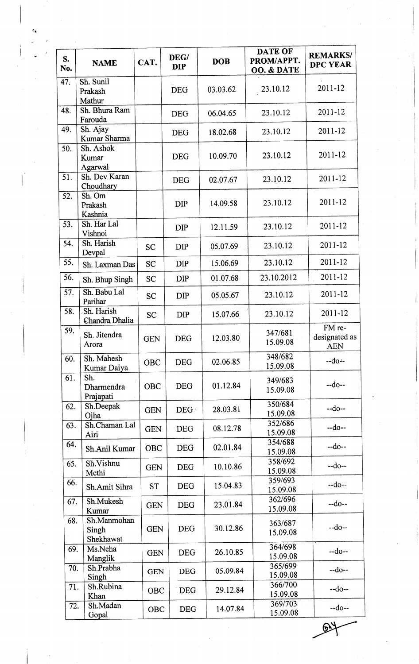| S.<br>No. | <b>NAME</b>                       | CAT.       | DEG/<br><b>DIP</b> | <b>DOB</b> | <b>DATE OF</b><br>PROM/APPT.<br>OO. & DATE | <b>REMARKS/</b><br><b>DPC YEAR</b>    |
|-----------|-----------------------------------|------------|--------------------|------------|--------------------------------------------|---------------------------------------|
| 47.       | Sh. Sunil<br>Prakash<br>Mathur    |            | <b>DEG</b>         | 03.03.62   | 23.10.12                                   | $2011 - 12$                           |
| 48.       | Sh. Bhura Ram<br>Farouda          |            | <b>DEG</b>         | 06.04.65   | 23.10.12                                   | 2011-12                               |
| 49.       | Sh. Ajay<br>Kumar Sharma          |            | <b>DEG</b>         | 18.02.68   | 23.10.12                                   | 2011-12                               |
| 50.       | Sh. Ashok<br>Kumar<br>Agarwal     |            | <b>DEG</b>         | 10.09.70   | 23.10.12                                   | 2011-12                               |
| 51.       | Sh. Dev Karan<br>Choudhary        |            | <b>DEG</b>         | 02.07.67   | 23.10.12                                   | 2011-12                               |
| 52.       | Sh. Om<br>Prakash<br>Kashnia      |            | <b>DIP</b>         | 14.09.58   | 23.10.12                                   | 2011-12                               |
| 53.       | Sh. Har Lal<br>Vishnoi            |            | <b>DIP</b>         | 12.11.59   | 23.10.12                                   | 2011-12                               |
| 54.       | Sh. Harish<br>Devpal              | <b>SC</b>  | <b>DIP</b>         | 05.07.69   | 23.10.12                                   | 2011-12                               |
| 55.       | Sh. Laxman Das                    | <b>SC</b>  | <b>DIP</b>         | 15.06.69   | 23.10.12                                   | 2011-12                               |
| 56.       | Sh. Bhup Singh                    | <b>SC</b>  | <b>DIP</b>         | 01.07.68   | 23.10.2012                                 | 2011-12                               |
| 57.       | Sh. Babu Lal<br>Parihar           | <b>SC</b>  | <b>DIP</b>         | 05.05.67   | 23.10.12                                   | 2011-12                               |
| 58.       | Sh. Harish<br>Chandra Dhalia      | <b>SC</b>  | <b>DIP</b>         | 15.07.66   | 23.10.12                                   | 2011-12                               |
| 59.       | Sh. Jitendra<br>Arora             | <b>GEN</b> | <b>DEG</b>         | 12.03.80   | 347/681<br>15.09.08                        | FM re-<br>designated as<br><b>AEN</b> |
| 60.       | Sh. Mahesh<br>Kumar Daiya         | <b>OBC</b> | <b>DEG</b>         | 02.06.85   | 348/682<br>15.09.08                        | $-do-$                                |
| 61.       | Sh.<br>Dharmendra<br>Prajapati    | OBC        | <b>DEG</b>         | 01.12.84   | 349/683<br>15.09.08                        | $-do-$                                |
| 62.       | Sh.Deepak<br>Ojha                 | <b>GEN</b> | DEG                | 28.03.81   | 350/684<br>15.09.08                        | $-do-$                                |
| 63.       | Sh.Chaman Lal<br>Airi             | <b>GEN</b> | <b>DEG</b>         | 08.12.78   | 352/686<br>15.09.08                        | $-do-$                                |
| 64.       | Sh.Anil Kumar                     | <b>OBC</b> | <b>DEG</b>         | 02.01.84   | 354/688<br>15.09.08                        | $-do-$                                |
| 65.       | Sh.Vishnu<br>Methi                | <b>GEN</b> | <b>DEG</b>         | 10.10.86   | 358/692<br>15.09.08                        | $-do-$                                |
| 66.       | Sh.Amit Sihra                     | <b>ST</b>  | <b>DEG</b>         | 15.04.83   | 359/693<br>15.09.08                        | $-do-$                                |
| 67.       | Sh.Mukesh<br>Kumar                | <b>GEN</b> | <b>DEG</b>         | 23.01.84   | 362/696<br>15.09.08                        | $-do-$                                |
| 68.       | Sh.Manmohan<br>Singh<br>Shekhawat | <b>GEN</b> | <b>DEG</b>         | 30.12.86   | 363/687<br>15.09.08                        | $-do-$                                |
| 69.       | Ms.Neha<br>Manglik                | <b>GEN</b> | <b>DEG</b>         | 26.10.85   | 364/698<br>15.09.08                        | $-do-$                                |
| 70.       | Sh.Prabha<br>Singh                | <b>GEN</b> | <b>DEG</b>         | 05.09.84   | 365/699<br>15.09.08                        | $-do-$                                |
| 71.       | Sh.Rubina<br>Khan                 | <b>OBC</b> | <b>DEG</b>         | 29.12.84   | 366/700<br>15.09.08                        | $-do-$                                |
| 72.       | Sh.Madan<br>Gopal                 | OBC        | <b>DEG</b>         | 14.07.84   | 369/703<br>15.09.08                        | $-do-$                                |

৩

I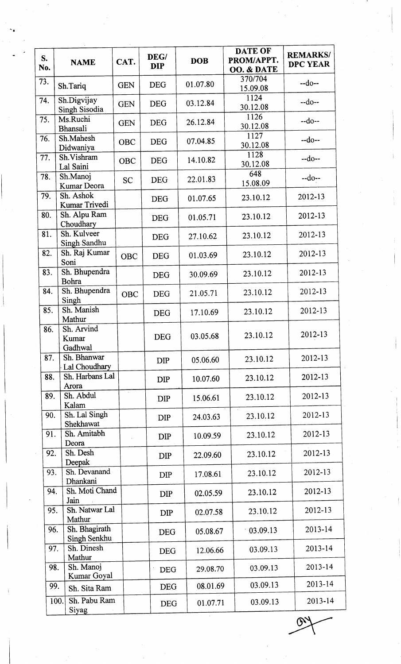| S.<br>No. | <b>NAME</b>                    | CAT.       | DEG/<br><b>DIP</b> | <b>DOB</b> | <b>DATE OF</b><br>PROM/APPT.<br>OO. & DATE | <b>REMARKS/</b><br><b>DPC YEAR</b> |
|-----------|--------------------------------|------------|--------------------|------------|--------------------------------------------|------------------------------------|
| 73.       | Sh.Tariq                       | <b>GEN</b> | <b>DEG</b>         | 01.07.80   | 370/704<br>15.09.08                        | $-do-$                             |
| 74.       | Sh.Digvijay<br>Singh Sisodia   | <b>GEN</b> | <b>DEG</b>         | 03.12.84   | 1124<br>30.12.08                           | $-do-$                             |
| 75.       | Ms.Ruchi<br>Bhansali           | <b>GEN</b> | <b>DEG</b>         | 26.12.84   | 1126<br>30.12.08                           | $-do-$                             |
| 76.       | Sh.Mahesh<br>Didwaniya         | <b>OBC</b> | <b>DEG</b>         | 07.04.85   | 1127<br>30.12.08                           | $-do-$                             |
| 77.       | Sh.Vishram<br>Lal Saini        | OBC        | <b>DEG</b>         | 14.10.82   | 1128<br>30.12.08                           | $-do-$                             |
| 78.       | Sh.Manoj<br>Kumar Deora        | <b>SC</b>  | <b>DEG</b>         | 22.01.83   | 648<br>15.08.09                            | $-do-$                             |
| 79.       | Sh. Ashok<br>Kumar Trivedi     |            | <b>DEG</b>         | 01.07.65   | 23.10.12                                   | 2012-13                            |
| 80.       | Sh. Alpu Ram<br>Choudhary      |            | <b>DEG</b>         | 01.05.71   | 23.10.12                                   | 2012-13                            |
| 81.       | Sh. Kulveer<br>Singh Sandhu    |            | <b>DEG</b>         | 27.10.62   | 23.10.12                                   | 2012-13                            |
| 82.       | Sh. Raj Kumar<br>Soni          | <b>OBC</b> | <b>DEG</b>         | 01.03.69   | 23.10.12                                   | 2012-13                            |
| 83.       | Sh. Bhupendra<br>Bohra         |            | <b>DEG</b>         | 30.09.69   | 23.10.12                                   | 2012-13                            |
| 84.       | Sh. Bhupendra<br>Singh         | <b>OBC</b> | <b>DEG</b>         | 21.05.71   | 23.10.12                                   | 2012-13                            |
| 85.       | Sh. Manish<br>Mathur           |            | <b>DEG</b>         | 17.10.69   | 23.10.12                                   | 2012-13                            |
| 86.       | Sh. Arvind<br>Kumar<br>Gadhwal |            | <b>DEG</b>         | 03.05.68   | 23.10.12                                   | 2012-13                            |
| 87.       | Sh. Bhanwar<br>Lal Choudhary   |            | <b>DIP</b>         | 05.06.60   | 23.10.12                                   | 2012-13                            |
| 88.       | Sh. Harbans Lal<br>Arora       |            | <b>DIP</b>         | 10.07.60   | 23.10.12                                   | 2012-13                            |
| 89.       | Sh. Abdul<br>Kalam             |            | <b>DIP</b>         | 15.06.61   | 23.10.12                                   | 2012-13                            |
| 90.       | Sh. Lal Singh<br>Shekhawat     |            | <b>DIP</b>         | 24.03.63   | 23.10.12                                   | 2012-13                            |
| 91.       | Sh. Amitabh<br>Deora           |            | <b>DIP</b>         | 10.09.59   | 23.10.12                                   | 2012-13                            |
| 92.       | Sh. Desh<br>Deepak             |            | <b>DIP</b>         | 22.09.60   | 23.10.12                                   | 2012-13                            |
| 93.       | Sh. Devanand<br>Dhankani       |            | <b>DIP</b>         | 17.08.61   | 23.10.12                                   | 2012-13                            |
| 94.       | Sh. Moti Chand<br>Jain         |            | <b>DIP</b>         | 02.05.59   | 23.10.12                                   | 2012-13                            |
| 95.       | Sh. Natwar Lal<br>Mathur       |            | <b>DIP</b>         | 02.07.58   | 23.10.12                                   | 2012-13                            |
| 96.       | Sh. Bhagirath<br>Singh Senkhu  |            | <b>DEG</b>         | 05.08.67   | 03.09.13                                   | 2013-14                            |
| 97.       | Sh. Dinesh<br>Mathur           |            | <b>DEG</b>         | 12.06.66   | 03.09.13                                   | 2013-14                            |
| 98.       | Sh. Manoj<br>Kumar Goyal       |            | <b>DEG</b>         | 29.08.70   | 03.09.13                                   | 2013-14                            |
| 99.       | Sh. Sita Ram                   |            | <b>DEG</b>         | 08.01.69   | 03.09.13                                   | 2013-14                            |
|           | Sh. Pabu Ram<br>100.<br>Siyag  |            | <b>DEG</b>         | 01.07.71   | 03.09.13                                   | 2013-14                            |

 $\widetilde{\omega}$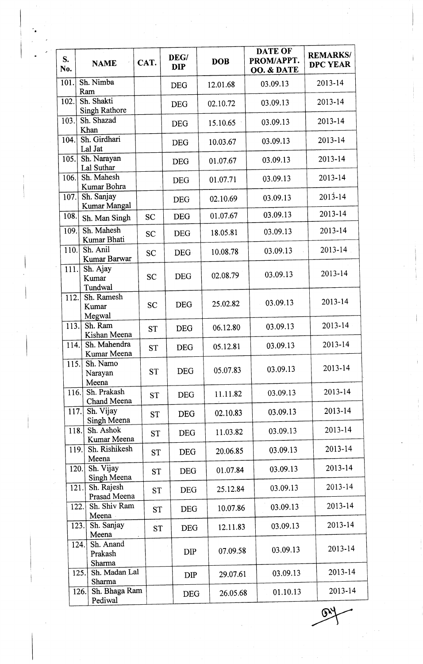| S.<br>No. | <b>NAME</b>                            | CAT.      | DEG/<br><b>DIP</b> | <b>DOB</b> | <b>DATE OF</b><br>PROM/APPT.<br>OO. & DATE | <b>REMARKS/</b><br>DPC YEAR |
|-----------|----------------------------------------|-----------|--------------------|------------|--------------------------------------------|-----------------------------|
| 101.      | Sh. Nimba<br>Ram                       |           | <b>DEG</b>         | 12.01.68   | 03.09.13                                   | 2013-14                     |
| 102.      | Sh. Shakti<br><b>Singh Rathore</b>     |           | <b>DEG</b>         | 02.10.72   | 03.09.13                                   | 2013-14                     |
| 103.      | Sh. Shazad<br>Khan                     |           | <b>DEG</b>         | 15.10.65   | 03.09.13                                   | $2013 - 14$                 |
| 104.      | Sh. Girdhari<br>Lal Jat                |           | <b>DEG</b>         | 10.03.67   | 03.09.13                                   | 2013-14                     |
| 105.      | Sh. Narayan<br>Lal Suthar              |           | <b>DEG</b>         | 01.07.67   | 03.09.13                                   | 2013-14                     |
| 106.      | Sh. Mahesh<br>Kumar Bohra              |           | <b>DEG</b>         | 01.07.71   | 03.09.13                                   | 2013-14                     |
| 107.      | Sh. Sanjay<br>Kumar Mangal             |           | <b>DEG</b>         | 02.10.69   | 03.09.13                                   | $2013 - 14$                 |
| 108.      | Sh. Man Singh                          | <b>SC</b> | <b>DEG</b>         | 01.07.67   | 03.09.13                                   | 2013-14                     |
| 109.      | Sh. Mahesh<br>Kumar Bhati              | <b>SC</b> | <b>DEG</b>         | 18.05.81   | 03.09.13                                   | 2013-14                     |
| 110.      | Sh. Anil<br>Kumar Barwar               | <b>SC</b> | <b>DEG</b>         | 10.08.78   | 03.09.13                                   | $2013 - 14$                 |
| 111.      | Sh. Ajay<br>Kumar<br>Tundwal           | <b>SC</b> | <b>DEG</b>         | 02.08.79   | 03.09.13                                   | 2013-14                     |
| 112.      | Sh. Ramesh<br>Kumar<br>Megwal          | <b>SC</b> | <b>DEG</b>         | 25.02.82   | 03.09.13                                   | 2013-14                     |
| 113.      | Sh. Ram<br>Kishan Meena                | <b>ST</b> | <b>DEG</b>         | 06.12.80   | 03.09.13                                   | 2013-14                     |
| 114.      | Sh. Mahendra<br>Kumar Meena            | ST        | <b>DEG</b>         | 05.12.81   | 03.09.13                                   | 2013-14                     |
| 115.      | Sh. Namo<br>Narayan<br>Meena           | <b>ST</b> | <b>DEG</b>         | 05.07.83   | 03.09.13                                   | 2013-14                     |
| 116.      | Sh. Prakash<br>Chand Meena             | <b>ST</b> | <b>DEG</b>         | 11.11.82   | 03.09.13                                   | 2013-14                     |
| 117.      | Sh. Vijay<br>Singh Meena               | <b>ST</b> | <b>DEG</b>         | 02.10.83   | 03.09.13                                   | 2013-14                     |
| 118.      | Sh. Ashok<br>Kumar Meena               | <b>ST</b> | <b>DEG</b>         | 11.03.82   | 03.09.13                                   | 2013-14                     |
| 119.      | Sh. Rishikesh<br>Meena                 | <b>ST</b> | <b>DEG</b>         | 20.06.85   | 03.09.13                                   | 2013-14                     |
| 120.      | Sh. Vijay<br>Singh Meena               | <b>ST</b> | <b>DEG</b>         | 01.07.84   | 03.09.13                                   | 2013-14                     |
| 121.      | Sh. Rajesh<br>Prasad Meena             | <b>ST</b> | <b>DEG</b>         | 25.12.84   | 03.09.13                                   | 2013-14                     |
|           | Sh. Shiv Ram<br>122.<br>Meena          | <b>ST</b> | <b>DEG</b>         | 10.07.86   | 03.09.13                                   | 2013-14                     |
|           | Sh. Sanjay<br>123.<br>Meena            | <b>ST</b> | <b>DEG</b>         | 12.11.83   | 03.09.13                                   | 2013-14                     |
|           | Sh. Anand<br>124.<br>Prakash<br>Sharma |           | <b>DIP</b>         | 07.09.58   | 03.09.13                                   | 2013-14                     |
|           | Sh. Madan Lal<br>125.<br>Sharma        |           | <b>DIP</b>         | 29.07.61   | 03.09.13                                   | 2013-14                     |
|           | Sh. Bhaga Ram<br>126.<br>Pediwal       |           | <b>DEG</b>         | 26.05.68   | 01.10.13                                   | 2013-14                     |

.l

. Only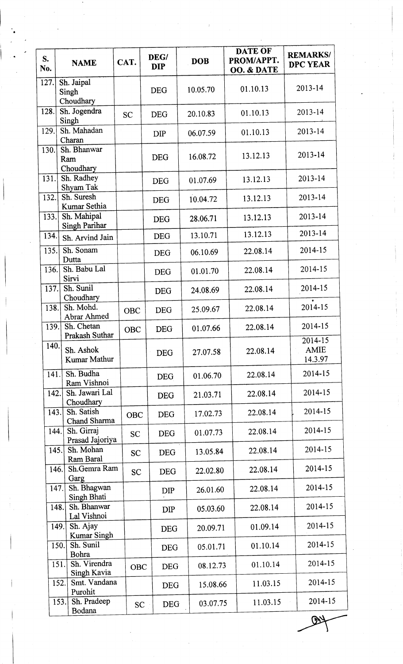| S.<br>No. | <b>NAME</b>                         | CAT.       | DEG/<br><b>DIP</b> | <b>DOB</b> | DATE OF<br>PROM/APPT.<br>OO. & DATE | <b>REMARKS/</b><br><b>DPC YEAR</b> |
|-----------|-------------------------------------|------------|--------------------|------------|-------------------------------------|------------------------------------|
| 127.      | Sh. Jaipal<br>Singh<br>Choudhary    |            | <b>DEG</b>         | 10.05.70   | 01.10.13                            | 2013-14                            |
| 128.      | Sh. Jogendra<br>Singh               | <b>SC</b>  | <b>DEG</b>         | 20.10.83   | 01.10.13                            | 2013-14                            |
| 129.      | Sh. Mahadan<br>Charan               |            | <b>DIP</b>         | 06.07.59   | 01.10.13                            | 2013-14                            |
| 130.      | Sh. Bhanwar<br>Ram<br>Choudhary     |            | <b>DEG</b>         | 16.08.72   | 13.12.13                            | 2013-14                            |
| 131.      | Sh. Radhey<br>Shyam Tak             |            | <b>DEG</b>         | 01.07.69   | 13.12.13                            | 2013-14                            |
| 132.      | Sh. Suresh<br>Kumar Sethia          |            | <b>DEG</b>         | 10.04.72   | 13.12.13                            | 2013-14                            |
| 133.      | Sh. Mahipal<br>Singh Parihar        |            | <b>DEG</b>         | 28.06.71   | 13.12.13                            | 2013-14                            |
| 134.      | Sh. Arvind Jain                     |            | <b>DEG</b>         | 13.10.71   | 13.12.13                            | 2013-14                            |
| 135.      | Sh. Sonam<br>Dutta                  |            | <b>DEG</b>         | 06.10.69   | 22.08.14                            | 2014-15                            |
| 136.      | Sh. Babu Lal<br>Sirvi               |            | <b>DEG</b>         | 01.01.70   | 22.08.14                            | 2014-15                            |
| 137.      | Sh. Sunil<br>Choudhary              |            | <b>DEG</b>         | 24.08.69   | 22.08.14                            | 2014-15                            |
| 138.      | Sh. Mohd.<br>Abrar Ahmed            | <b>OBC</b> | <b>DEG</b>         | 25.09.67   | 22.08.14                            | 2014-15                            |
| 139.      | Sh. Chetan<br>Prakash Suthar        | <b>OBC</b> | <b>DEG</b>         | 01.07.66   | 22.08.14                            | 2014-15                            |
| 140.      | Sh. Ashok<br>Kumar Mathur           |            | <b>DEG</b>         | 27.07.58   | 22.08.14                            | 2014-15<br><b>AMIE</b><br>14.3.97  |
| 141.      | Sh. Budha<br>Ram Vishnoi            |            | <b>DEG</b>         | 01.06.70   | 22.08.14                            | 2014-15                            |
| 142.      | Sh. Jawari Lal<br>Choudhary         |            | <b>DEG</b>         | 21.03.71   | 22.08.14                            | 2014-15                            |
| 143.      | Sh. Satish<br>Chand Sharma          | OBC        | <b>DEG</b>         | 17.02.73   | 22.08.14                            | 2014-15                            |
| 144.      | Sh. Girraj<br>Prasad Jajoriya       | <b>SC</b>  | <b>DEG</b>         | 01.07.73   | 22.08.14                            | 2014-15                            |
|           | Sh. Mohan<br>145.<br>Ram Baral      | <b>SC</b>  | <b>DEG</b>         | 13.05.84   | 22.08.14                            | 2014-15                            |
|           | Sh.Gemra Ram<br>146.<br>Garg        | <b>SC</b>  | <b>DEG</b>         | 22.02.80   | 22.08.14                            | 2014-15                            |
|           | Sh. Bhagwan<br>147.<br>Singh Bhati  |            | DIP                | 26.01.60   | 22.08.14                            | 2014-15                            |
|           | Sh. Bhanwar<br>148.<br>Lal Vishnoi  |            | <b>DIP</b>         | 05.03.60   | 22.08.14                            | 2014-15                            |
|           | Sh. Ajay<br>149.<br>Kumar Singh     |            | <b>DEG</b>         | 20.09.71   | 01.09.14                            | 2014-15                            |
|           | Sh. Sunil<br>150.<br>Bohra          |            | <b>DEG</b>         | 05.01.71   | 01.10.14                            | 2014-15                            |
|           | Sh. Virendra<br>151.<br>Singh Kavia | <b>OBC</b> | <b>DEG</b>         | 08.12.73   | 01.10.14                            | 2014-15                            |
|           | Smt. Vandana<br>152.<br>Purohit     |            | <b>DEG</b>         | 15.08.66   | 11.03.15                            | 2014-15                            |
|           | Sh. Pradeep<br>153.<br>Bodana       | <b>SC</b>  | <b>DEG</b>         | 03.07.75   | 11.03.15                            | 2014-15                            |

 $\mathbf \Phi$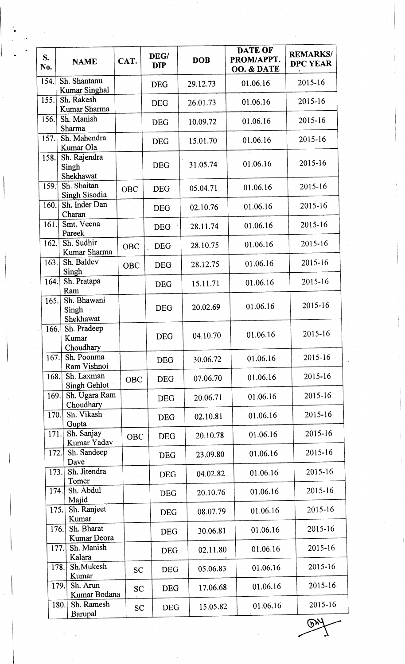| S.<br>No. | <b>NAME</b>                          | CAT.       | DEG/<br><b>DIP</b> | <b>DOB</b> | <b>DATE OF</b><br>PROM/APPT.<br>OO. & DATE | <b>REMARKS/</b><br><b>DPC YEAR</b> |
|-----------|--------------------------------------|------------|--------------------|------------|--------------------------------------------|------------------------------------|
| 154.      | Sh. Shantanu<br><b>Kumar Singhal</b> |            | <b>DEG</b>         | 29.12.73   | 01.06.16                                   | 2015-16                            |
| 155.      | Sh. Rakesh<br>Kumar Sharma           |            | <b>DEG</b>         | 26.01.73   | 01.06.16                                   | 2015-16                            |
| 156.      | Sh. Manish<br>Sharma                 |            | <b>DEG</b>         | 10.09.72   | 01.06.16                                   | 2015-16                            |
| 157.      | Sh. Mahendra<br>Kumar Ola            |            | <b>DEG</b>         | 15.01.70   | 01.06.16                                   | 2015-16                            |
| 158.      | Sh. Rajendra<br>Singh<br>Shekhawat   |            | <b>DEG</b>         | 31.05.74   | 01.06.16                                   | 2015-16                            |
| 159.      | Sh. Shaitan<br>Singh Sisodia         | <b>OBC</b> | <b>DEG</b>         | 05.04.71   | 01.06.16                                   | 2015-16                            |
| 160.      | Sh. Inder Dan<br>Charan              |            | <b>DEG</b>         | 02.10.76   | 01.06.16                                   | 2015-16                            |
| 161.      | Smt. Veena<br>Pareek                 |            | <b>DEG</b>         | 28.11.74   | 01.06.16                                   | 2015-16                            |
| 162.      | Sh. Sudhir<br>Kumar Sharma           | <b>OBC</b> | <b>DEG</b>         | 28.10.75   | 01.06.16                                   | 2015-16                            |
| 163.      | Sh. Baldev<br>Singh                  | OBC        | <b>DEG</b>         | 28.12.75   | 01.06.16                                   | 2015-16                            |
| 164.      | Sh. Pratapa<br>Ram                   |            | <b>DEG</b>         | 15.11.71   | 01.06.16                                   | 2015-16                            |
| 165.      | Sh. Bhawani<br>Singh<br>Shekhawat    |            | <b>DEG</b>         | 20.02.69   | 01.06.16                                   | 2015-16                            |
| 166.      | Sh. Pradeep<br>Kumar<br>Choudhary    |            | <b>DEG</b>         | 04.10.70   | 01.06.16                                   | 2015-16                            |
| 167.      | Sh. Poonma<br>Ram Vishnoi            |            | <b>DEG</b>         | 30.06.72   | 01.06.16                                   | 2015-16                            |
| 168.      | Sh. Laxman<br>Singh Gehlot           | <b>OBC</b> | <b>DEG</b>         | 07.06.70   | 01.06.16                                   | 2015-16                            |
| 169.      | Sh. Ugara Ram<br>Choudhary           |            | <b>DEG</b>         | 20.06.71   | 01.06.16                                   | 2015-16                            |
| 170.      | Sh. Vikash<br>Gupta                  |            | <b>DEG</b>         | 02.10.81   | 01.06.16                                   | 2015-16                            |
| 171.      | Sh. Sanjay<br>Kumar Yadav            | <b>OBC</b> | <b>DEG</b>         | 20.10.78   | 01.06.16                                   | 2015-16                            |
| 172.      | Sh. Sandeep<br>Dave                  |            | <b>DEG</b>         | 23.09.80   | 01.06.16                                   | 2015-16                            |
| 173.      | Sh. Jitendra<br>Tomer                |            | <b>DEG</b>         | 04.02.82   | 01.06.16                                   | 2015-16                            |
| 174.      | Sh. Abdul<br>Majid                   |            | <b>DEG</b>         | 20.10.76   | 01.06.16                                   | 2015-16                            |
|           | Sh. Ranjeet<br>175.<br>Kumar         |            | <b>DEG</b>         | 08.07.79   | 01.06.16                                   | 2015-16                            |
|           | Sh. Bharat<br>176.<br>Kumar Deora    |            | <b>DEG</b>         | 30.06.81   | 01.06.16                                   | 2015-16                            |
|           | Sh. Manish<br>177.<br>Kalara         |            | <b>DEG</b>         | 02.11.80   | 01.06.16                                   | 2015-16                            |
|           | Sh.Mukesh<br>178.<br>Kumar           | <b>SC</b>  | <b>DEG</b>         | 05.06.83   | 01.06.16                                   | 2015-16                            |
|           | Sh. Arun<br>179.<br>Kumar Bodana     | <b>SC</b>  | <b>DEG</b>         | 17.06.68   | 01.06.16                                   | 2015-16                            |
|           | Sh. Ramesh<br>180.<br>Barupal        | <b>SC</b>  | <b>DEG</b>         | 15.05.82   | 01.06.16                                   | 2015-16                            |
|           |                                      |            |                    |            |                                            | (ካ)                                |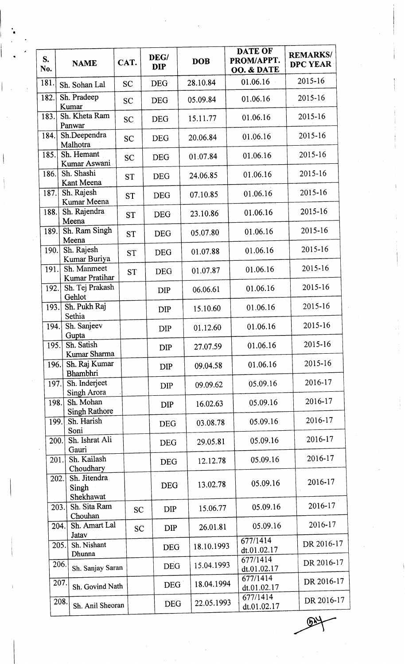| $S_{\cdot}$<br>No. | <b>NAME</b>                                | CAT.      | DEG/<br><b>DIP</b> | <b>DOB</b> | DATE OF<br>PROM/APPT.<br>OO. & DATE | <b>REMARKS/</b><br><b>DPC YEAR</b> |
|--------------------|--------------------------------------------|-----------|--------------------|------------|-------------------------------------|------------------------------------|
| 181.               | Sh. Sohan Lal                              | <b>SC</b> | <b>DEG</b>         | 28.10.84   | 01.06.16                            | 2015-16                            |
| 182.               | Sh. Pradeep<br>Kumar                       | <b>SC</b> | <b>DEG</b>         | 05.09.84   | 01.06.16                            | 2015-16                            |
| 183.               | Sh. Kheta Ram<br>Panwar                    | <b>SC</b> | <b>DEG</b>         | 15.11.77   | 01.06.16                            | 2015-16                            |
| 184.               | Sh.Deependra<br>Malhotra                   | <b>SC</b> | <b>DEG</b>         | 20.06.84   | 01.06.16                            | 2015-16                            |
| 185.               | Sh. Hemant<br>Kumar Aswani                 | <b>SC</b> | <b>DEG</b>         | 01:07.84   | 01.06.16                            | 2015-16                            |
| 186.               | Sh. Shashi<br>Kant Meena                   | <b>ST</b> | <b>DEG</b>         | 24.06.85   | 01.06.16                            | 2015-16                            |
| 187.               | Sh. Rajesh<br>Kumar Meena                  | <b>ST</b> | <b>DEG</b>         | 07.10.85   | 01.06.16                            | 2015-16                            |
| 188.               | Sh. Rajendra<br>Meena                      | <b>ST</b> | <b>DEG</b>         | 23.10.86   | 01.06.16                            | 2015-16                            |
| 189.               | Sh. Ram Singh<br>Meena                     | <b>ST</b> | <b>DEG</b>         | 05.07.80   | 01.06.16                            | 2015-16                            |
| 190.               | Sh. Rajesh<br>Kumar Buriya                 | <b>ST</b> | <b>DEG</b>         | 01.07.88   | 01.06.16                            | 2015-16                            |
| 191.               | Sh. Manmeet<br>Kumar Pratihar              | <b>ST</b> | <b>DEG</b>         | 01.07.87   | 01.06.16                            | 2015-16                            |
| 192.               | Sh. Tej Prakash<br>Gehlot                  |           | <b>DIP</b>         | 06.06.61   | 01.06.16                            | 2015-16                            |
| 193.               | Sh. Pukh Raj<br>Sethia                     |           | <b>DIP</b>         | 15.10.60   | 01.06.16                            | 2015-16                            |
| 194.               | Sh. Sanjeev<br>Gupta                       |           | DIP                | 01.12.60   | 01.06.16                            | 2015-16                            |
| 195.               | Sh. Satish<br>Kumar Sharma                 |           | <b>DIP</b>         | 27.07.59   | 01.06.16                            | 2015-16                            |
| 196.               | Sh. Raj Kumar<br><b>Bhambhri</b>           |           | <b>DIP</b>         | 09.04.58   | 01.06.16                            | 2015-16                            |
| 197.               | Sh. Inderjeet<br>Singh Arora               |           | <b>DIP</b>         | 09.09.62   | 05.09.16                            | 2016-17                            |
| 198.               | Sh. Mohan<br><b>Singh Rathore</b>          |           | <b>DIP</b>         | 16.02.63   | 05.09.16                            | 2016-17                            |
| 199.               | Sh. Harish<br>Soni                         |           | <b>DEG</b>         | 03.08.78   | 05.09.16                            | 2016-17                            |
| 200.               | Sh. Ishrat Ali<br>Gauri                    |           | <b>DEG</b>         | 29.05.81   | 05.09.16                            | 2016-17                            |
| 201.               | Sh. Kailash<br>Choudhary                   |           | <b>DEG</b>         | 12.12.78   | 05.09.16                            | 2016-17                            |
|                    | Sh. Jitendra<br>202.<br>Singh<br>Shekhawat |           | <b>DEG</b>         | 13.02.78   | 05.09.16                            | 2016-17                            |
|                    | Sh. Sita Ram<br>203.<br>Chouhan            | <b>SC</b> | <b>DIP</b>         | 15.06.77   | 05.09.16                            | 2016-17                            |
|                    | Sh. Amart Lal<br>204.<br>Jatav             | <b>SC</b> | <b>DIP</b>         | 26.01.81   | 05.09.16                            | 2016-17                            |
|                    | Sh. Nishant<br>205.<br>Dhunna              |           | <b>DEG</b>         | 18.10.1993 | 677/1414<br>dt.01.02.17             | DR 2016-17                         |
|                    | 206.<br>Sh. Sanjay Saran                   |           | <b>DEG</b>         | 15.04.1993 | 677/1414<br>dt.01.02.17             | DR 2016-17                         |
|                    | 207.<br>Sh. Govind Nath                    |           | DEG                | 18.04.1994 | 677/1414<br>dt.01.02.17             | DR 2016-17                         |
|                    | 208.<br>Sh. Anil Sheoran                   |           | <b>DEG</b>         | 22.05.1993 | 677/1414<br>dt.01.02.17             | DR 2016-17                         |

 $\odot$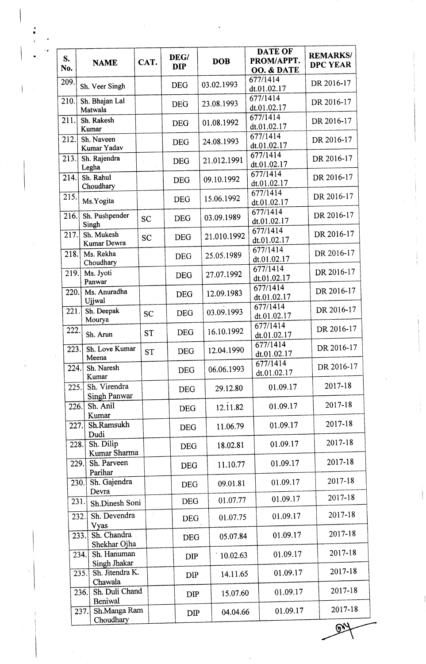| S.   | <b>NAME</b>                         | CAT.          | DEG/       | <b>DOB</b>  | <b>DATE OF</b><br>PROM/APPT. | <b>REMARKS/</b><br><b>DPC YEAR</b> |
|------|-------------------------------------|---------------|------------|-------------|------------------------------|------------------------------------|
| No.  |                                     |               | <b>DIP</b> |             | OO. & DATE                   |                                    |
| 209. | Sh. Veer Singh                      |               | <b>DEG</b> | 03.02.1993  | 677/1414<br>dt.01.02.17      | DR 2016-17                         |
| 210. | Sh. Bhajan Lal<br>Matwala           |               | <b>DEG</b> | 23.08.1993  | 677/1414<br>dt.01.02.17      | DR 2016-17                         |
| 211. | Sh. Rakesh<br>Kumar                 |               | <b>DEG</b> | 01.08.1992  | 677/1414<br>dt.01.02.17      | DR 2016-17                         |
| 212. | Sh. Naveen<br>Kumar Yadav           |               | <b>DEG</b> | 24.08.1993  | 677/1414<br>dt.01.02.17      | DR 2016-17                         |
| 213. | Sh. Rajendra<br>Legha               |               | <b>DEG</b> | 21.012.1991 | 677/1414<br>dt.01.02.17      | DR 2016-17                         |
| 214. | Sh. Rahul<br>Choudhary              |               | <b>DEG</b> | 09.10.1992  | 677/1414<br>dt.01.02.17      | DR 2016-17                         |
| 215. | Ms.Yogita                           |               | <b>DEG</b> | 15.06.1992  | 677/1414<br>dt.01.02.17      | DR 2016-17                         |
| 216. | Sh. Pushpender<br>Singh             | <b>SC</b>     | <b>DEG</b> | 03.09.1989  | 677/1414<br>dt.01.02.17      | DR 2016-17                         |
| 217. | Sh. Mukesh<br>Kumar Dewra           | <b>SC</b>     | <b>DEG</b> | 21.010.1992 | 677/1414<br>dt.01.02.17      | DR 2016-17                         |
| 218. | Ms. Rekha<br>Choudhary              |               | <b>DEG</b> | 25.05.1989  | 677/1414<br>dt.01.02.17      | DR 2016-17                         |
| 219. | Ms. Jyoti<br>Panwar                 |               | <b>DEG</b> | 27.07.1992  | 677/1414<br>dt.01.02.17      | DR 2016-17                         |
| 220. | Ms. Anuradha<br>Ujjwal              |               | <b>DEG</b> | 12.09.1983  | 677/1414<br>dt.01.02.17      | DR 2016-17                         |
| 221. | Sh. Deepak<br>Mourya                | <b>SC</b>     | <b>DEG</b> | 03.09.1993  | 677/1414<br>dt.01.02.17      | DR 2016-17                         |
| 222. | Sh. Arun                            | <b>ST</b>     | <b>DEG</b> | 16.10.1992  | 677/1414<br>dt.01.02.17      | DR 2016-17                         |
| 223. | Sh. Love Kumar<br>Meena             | <b>ST</b>     | <b>DEG</b> | 12.04.1990  | 677/1414<br>dt.01.02.17      | DR 2016-17                         |
| 224. | Sh. Naresh<br>Kumar                 |               | <b>DEG</b> | 06.06.1993  | 677/1414<br>dt.01.02.17      | DR 2016-17                         |
| 225. | Sh. Virendra<br>Singh Panwar        |               | <b>DEG</b> | 29.12.80    | 01.09.17                     | 2017-18                            |
| 226. | Sh. Anil<br>Kumar                   |               | <b>DEG</b> | 12.11.82    | 01.09.17                     | 2017-18                            |
| 227. | Sh.Ramsukh<br>Dudi                  |               | <b>DEG</b> | 11.06.79    | 01.09.17                     | 2017-18                            |
| 228. | Sh. Dilip<br>Kumar Sharma           |               | <b>DEG</b> | 18.02.81    | 01.09.17                     | 2017-18                            |
| 229. | Sh. Parveen<br>Parihar              |               | <b>DEG</b> | 11.10.77    | 01.09.17                     | 2017-18                            |
| 230. | Sh. Gajendra<br>Devra               |               | <b>DEG</b> | 09.01.81    | 01.09.17                     | 2017-18                            |
|      | 231.<br>Sh.Dinesh Soni              |               | <b>DEG</b> | 01.07.77    | 01.09.17                     | 2017-18                            |
|      | Sh. Devendra<br>232.<br>Vyas        | $\mathcal{I}$ | <b>DEG</b> | 01.07.75    | 01.09.17                     | 2017-18                            |
|      | Sh. Chandra<br>233.<br>Shekhar Ojha |               | <b>DEG</b> | 05.07.84    | 01.09.17                     | 2017-18                            |
|      | Sh. Hanuman<br>234.<br>Singh Jhakar |               | <b>DIP</b> | 10.02.63    | 01.09.17                     | 2017-18                            |
|      | Sh. Jitendra K.<br>235.<br>Chawala  |               | DIP        | 14.11.65    | 01.09.17                     | 2017-18                            |
|      | Sh. Duli Chand<br>236.<br>Beniwal   |               | <b>DIP</b> | 15.07.60    | 01.09.17                     | 2017-18                            |
|      | Sh.Manga Ram<br>237.<br>Choudhary   |               | <b>DIP</b> | 04.04.66    | 01.09.17                     | 2017-18                            |
|      |                                     |               |            |             |                              |                                    |

!